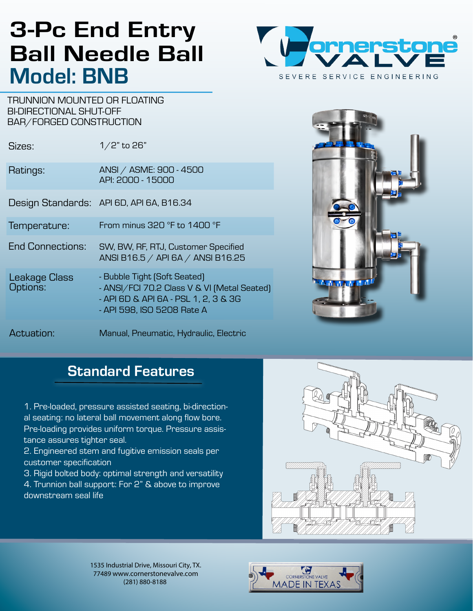# 3-Pc End Entry Ball Needle Ball Model: BNB



TRUNNION MOUNTED OR FLOATING BI-DIRECTIONAL SHUT-OFF BAR/FORGED CONSTRUCTION

| Sizes:                           | $1/2$ " to 26"                                                                                                                                    |  |
|----------------------------------|---------------------------------------------------------------------------------------------------------------------------------------------------|--|
| Ratings:                         | ANSI / ASME: 900 - 4500<br>API: 2000 - 15000                                                                                                      |  |
|                                  | Design Standards: API 6D, API 6A, B16.34                                                                                                          |  |
| Temperature:                     | From minus 320 °F to 1400 °F                                                                                                                      |  |
| <b>End Connections:</b>          | SW, BW, RF, RTJ, Customer Specified<br>ANSI B16.5 / API 6A / ANSI B16.25                                                                          |  |
| <b>Leakage Class</b><br>Options: | - Bubble Tight (Soft Seated)<br>- ANSI/FCI 70.2 Class V & VI (Metal Seated)<br>- API 6D & API 6A - PSL 1, 2, 3 & 3G<br>- API 598, ISO 5208 Rate A |  |
| Actuation:                       | Manual, Pneumatic, Hydraulic, Electric                                                                                                            |  |



# Standard Features

1. Pre-loaded, pressure assisted seating, bi-directional seating: no lateral ball movement along flow bore. Pre-loading provides uniform torque. Pressure assistance assures tighter seal.

2. Engineered stem and fugitive emission seals per customer specification

3. Rigid bolted body: optimal strength and versatility 4. Trunnion ball support: For 2" & above to improve downstream seal life